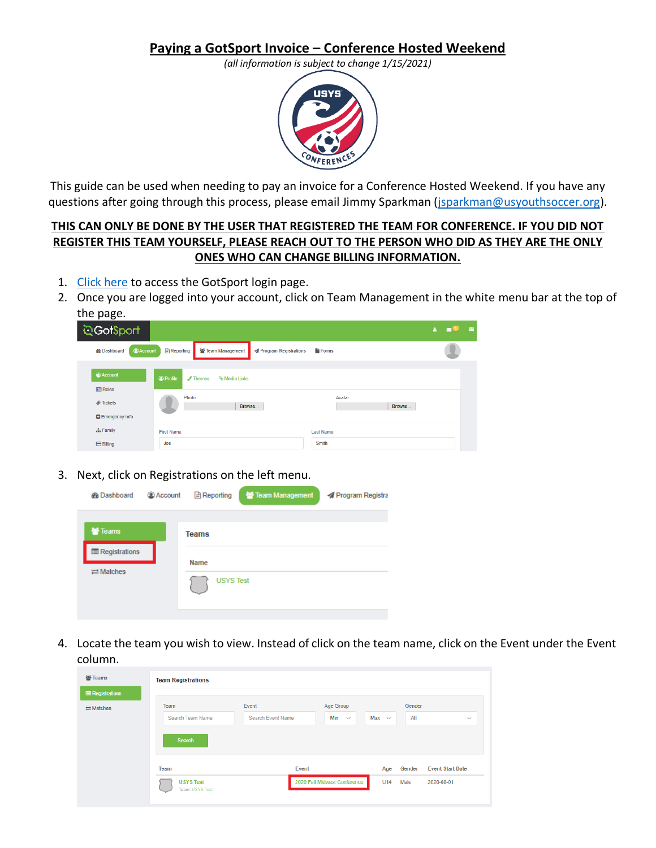## **Paying a GotSport Invoice – Conference Hosted Weekend**

*(all information is subject to change 1/15/2021)*



This guide can be used when needing to pay an invoice for a Conference Hosted Weekend. If you have any questions after going through this process, please email Jimmy Sparkman [\(jsparkman@usyouthsoccer.org\)](mailto:jsparkman@usyouthsoccer.org).

## **THIS CAN ONLY BE DONE BY THE USER THAT REGISTERED THE TEAM FOR CONFERENCE. IF YOU DID NOT REGISTER THIS TEAM YOURSELF, PLEASE REACH OUT TO THE PERSON WHO DID AS THEY ARE THE ONLY ONES WHO CAN CHANGE BILLING INFORMATION.**

- 1. [Click here](https://system.gotsport.com/) to access the GotSport login page.
- 2. Once you are logged into your account, click on Team Management in the white menu bar at the top of the page.

| <u>উ</u> GotSport                          |                                                                                         | ◛ | -- |
|--------------------------------------------|-----------------------------------------------------------------------------------------|---|----|
| <b>@Account</b><br><b>@</b> Dashboard      | <b>B</b> Reporting<br><b>普 Team Management</b><br>Program Registrations<br><b>Forms</b> |   |    |
| <b>Account</b>                             | <b>O</b> Profile<br>$\sqrt{\ }$ Themes<br>% Media Links                                 |   |    |
| <b>AR Roles</b><br><b><i>♦</i></b> Tickets | Photo<br>Avatar<br>Browse<br>Browse                                                     |   |    |
| <b>D</b> Emergency Info                    |                                                                                         |   |    |
| <b>A</b> Family                            | <b>Last Name</b><br><b>First Name</b><br>Smith<br>Joe                                   |   |    |
| <b>Billing</b>                             |                                                                                         |   |    |

3. Next, click on Registrations on the left menu.

| <b>@</b> Dashboard         | <b>Account</b> | $\Box$ Reporting | Team Management | Program Registra |
|----------------------------|----------------|------------------|-----------------|------------------|
| 警 Teams                    |                | <b>Teams</b>     |                 |                  |
| <b>E</b> Registrations     |                | <b>Name</b>      |                 |                  |
| $\rightleftarrows$ Matches |                | <b>USYS Test</b> |                 |                  |

4. Locate the team you wish to view. Instead of click on the team name, click on the Event under the Event column.

| 불 Teams                    | <b>Team Registrations</b>           |                          |                              |            |        |                         |  |
|----------------------------|-------------------------------------|--------------------------|------------------------------|------------|--------|-------------------------|--|
| <b>E</b> Registrations     |                                     |                          |                              |            |        |                         |  |
| $\rightleftarrows$ Matches | Team                                | Event                    | Age Group                    |            | Gender |                         |  |
|                            | Search Team Name                    | <b>Search Event Name</b> | Min<br>$\checkmark$          | Max $\sim$ | All    | $\checkmark$            |  |
|                            | <b>Search</b>                       |                          |                              |            |        |                         |  |
|                            | Team                                | Event                    |                              | Age        | Gender | <b>Event Start Date</b> |  |
|                            | <b>USYS Test</b><br>Team: USYS Test |                          | 2020 Fall Midwest Conference |            | Male   | 2020-08-01              |  |